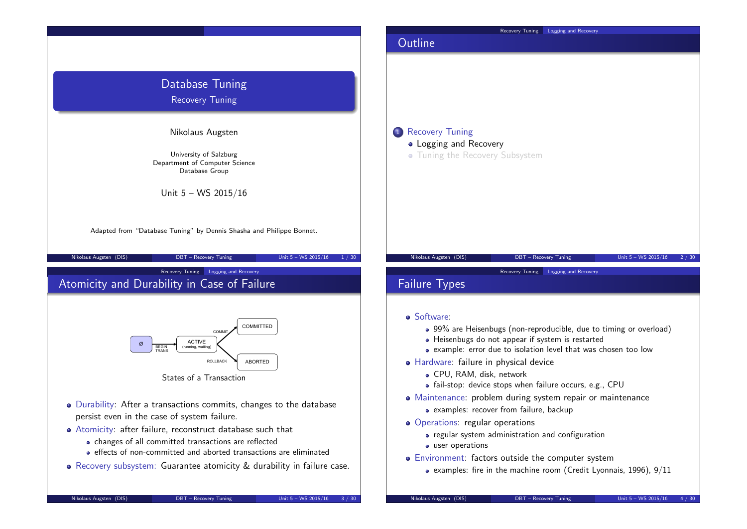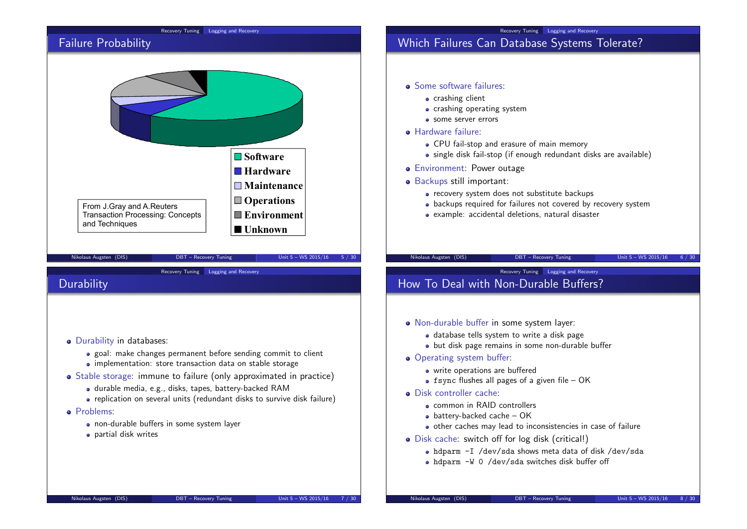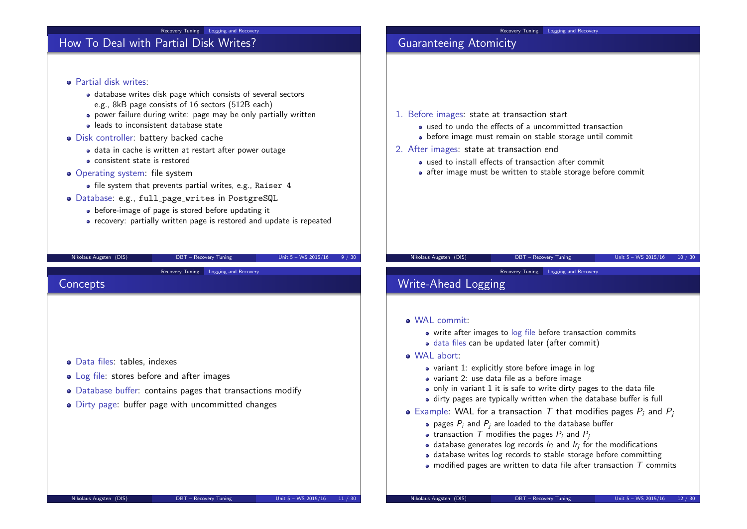#### Recovery Tuning Logging and Recovery

## How To Deal with Partial Disk Writes?

**Partial disk writes:** database writes disk page which consists of several sectors e.g., 8kB page consists of 16 sectors (512B each) power failure during write: page may be only partially written leads to inconsistent database state Disk controller: battery backed cache • data in cache is written at restart after power outage consistent state is restored • Operating system: file system • file system that prevents partial writes, e.g., Raiser 4 Database: e.g., full page writes in PostgreSQL • before-image of page is stored before updating it • recovery: partially written page is restored and update is repeated Nikolaus Augsten (DIS) **DBT** – Recovery Tuning Unit 5 – WS 2015/16 9 / 30 1. Before images: state at transaction start used to undo the effects of a uncommitted transaction before image must remain on stable storage until commit 2. After images: state at transaction end used to install effects of transaction after commit • after image must be written to stable storage before commit Nikolaus Augsten (DIS) DBT – Recovery Tuning Unit 5 – WS 2015/16 10 / 30 Recovery Tuning Logging and Recovery **Concepts** Data files: tables, indexes • Log file: stores before and after images Database buffer: contains pages that transactions modify Dirty page: buffer page with uncommitted changes Nikolaus Augsten (DIS) DBT – Recovery Tuning Unit 5 – WS 2015/16 11 / 30 Recovery Tuning Logging and Recovery Write-Ahead Logging WAL commit: • write after images to log file before transaction commits data files can be updated later (after commit) WAL abort: • variant 1: explicitly store before image in log variant 2: use data file as a before image • only in variant 1 it is safe to write dirty pages to the data file dirty pages are typically written when the database buffer is full • Example: WAL for a transaction T that modifies pages  $P_i$  and  $P_i$ • pages  $P_i$  and  $P_i$  are loaded to the database buffer • transaction T modifies the pages  $P_i$  and  $P_i$ • database generates log records  $Ir_i$  and  $Ir_j$  for the modifications database writes log records to stable storage before committing • modified pages are written to data file after transaction  $T$  commits Nikolaus Augsten (DIS) DBT – Recovery Tuning Unit 5 – WS 2015/16 12 / 30

Recovery Tuning Logging and Recovery

Guaranteeing Atomicity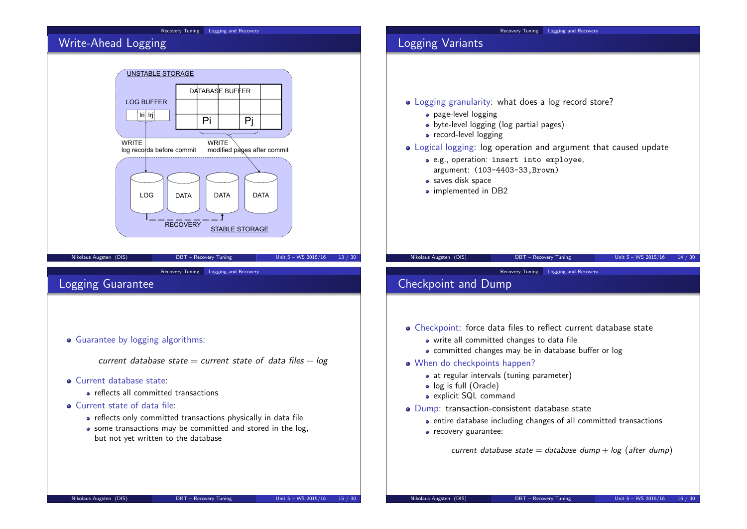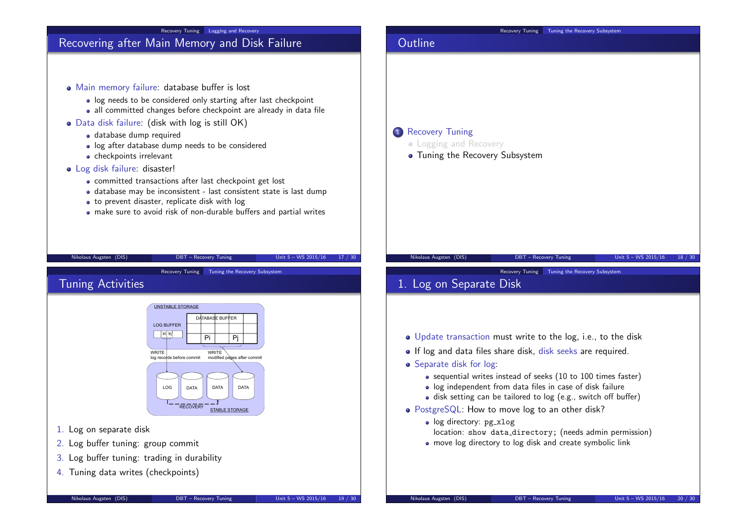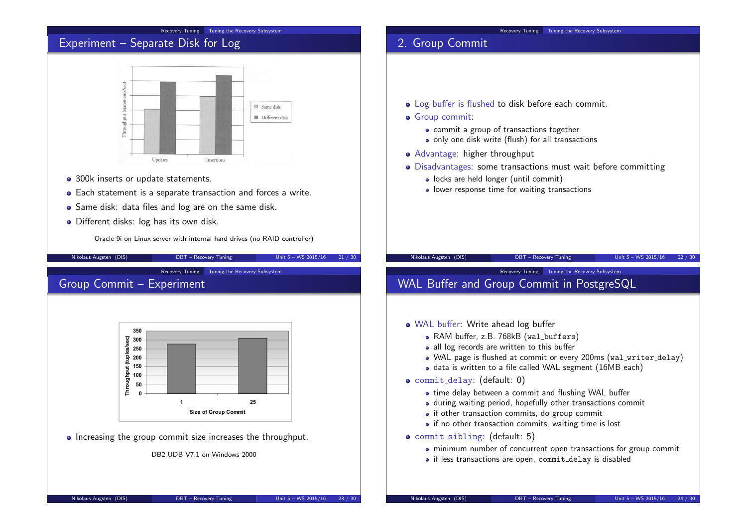#### Recovery Tuning Tuning the Recovery Subsystem

## Experiment – Separate Disk for Log



- 300k inserts or update statements.
- Each statement is a separate transaction and forces a write.
- Same disk: data files and log are on the same disk.
- Different disks: log has its own disk.

Oracle 9i on Linux server with internal hard drives (no RAID controller)

Nikolaus Augsten (DIS) DBT – Recovery Tuning Unit 5 – WS 2015/16 21 / 30 Recovery Tuning Tuning the Recovery Subsystem Group Commit – Experiment **350 300 Throughput (tuples/sec)** 뽊 **250** ĕ **200 150** Throughp **100 50 0 1 25 Size of Group Commit** • Increasing the group commit size increases the throughput. DB2 UDB V7.1 on Windows 2000

# Recovery Tuning Tuning the Recovery Subsystem

- Log buffer is flushed to disk before each commit.
- **•** Group commit:

2. Group Commit

- commit a group of transactions together
- only one disk write (flush) for all transactions
- Advantage: higher throughput
- Disadvantages: some transactions must wait before committing
	- locks are held longer (until commit)
	- lower response time for waiting transactions

## Nikolaus Augsten (DIS) DBT – Recovery Tuning Unit 5 – WS 2015/16 22 / 30

# Recovery Tuning Tuning the Recovery Subsystem

## WAL Buffer and Group Commit in PostgreSQL

- WAL buffer: Write ahead log buffer
	- RAM buffer, z.B. 768kB (wal\_buffers)
	- all log records are written to this buffer
	- WAL page is flushed at commit or every 200ms (wal\_writer\_delay)
	- data is written to a file called WAL segment (16MB each)
- commit delay: (default: 0)
	- time delay between a commit and flushing WAL buffer
	- during waiting period, hopefully other transactions commit
	- if other transaction commits, do group commit
	- if no other transaction commits, waiting time is lost
- commit sibling: (default: 5)
	- minimum number of concurrent open transactions for group commit
	- if less transactions are open, commit delay is disabled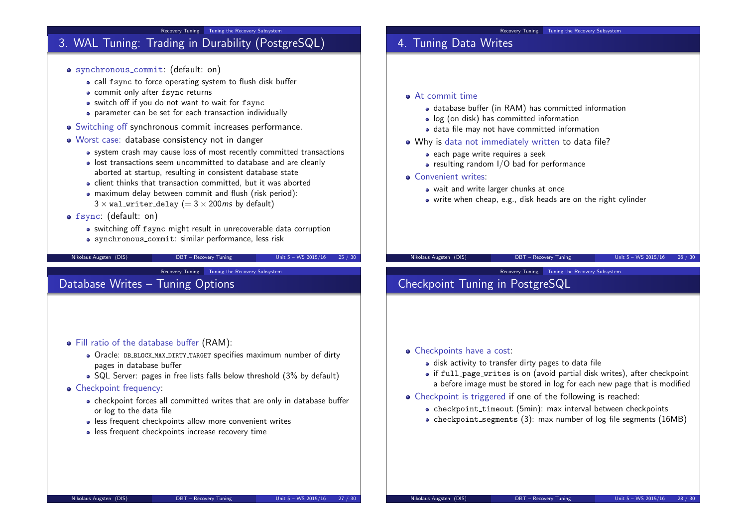

#### Fill ratio of the database buffer (RAM):

- Oracle: DB BLOCK MAX DIRTY TARGET specifies maximum number of dirty pages in database buffer
- SQL Server: pages in free lists falls below threshold (3% by default)

#### • Checkpoint frequency:

- checkpoint forces all committed writes that are only in database buffer or log to the data file
- less frequent checkpoints allow more convenient writes
- less frequent checkpoints increase recovery time

### • Checkpoints have a cost:

- disk activity to transfer dirty pages to data file
- if full page writes is on (avoid partial disk writes), after checkpoint a before image must be stored in log for each new page that is modified
- Checkpoint is triggered if one of the following is reached:
	- checkpoint\_timeout (5min): max interval between checkpoints
	- checkpoint segments  $(3)$ : max number of log file segments  $(16MB)$